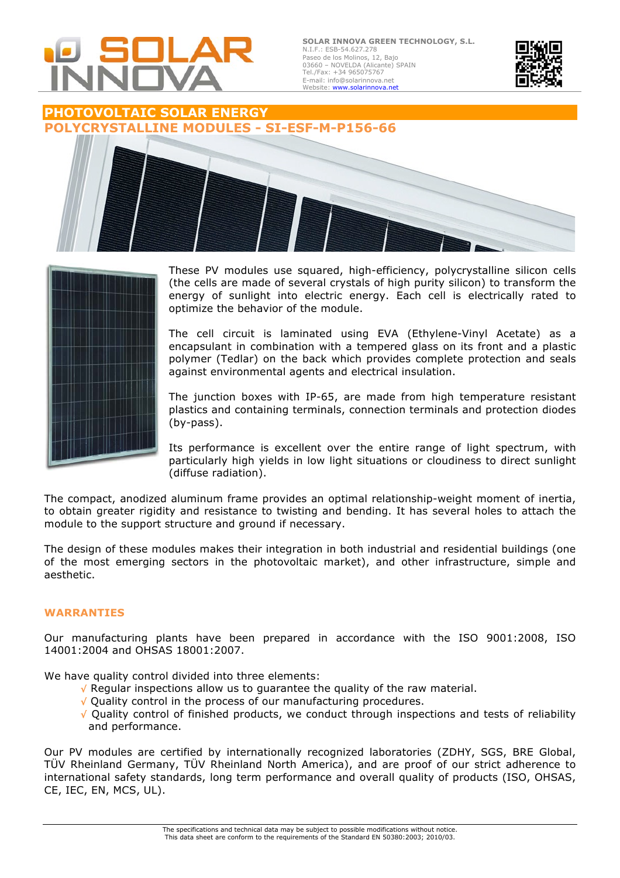

**SOLAR INNOVA GREEN TECHNOLOGY, S.L.** N.I.F.: ESB-54.627.278 Paseo de los Molinos, 12, Bajo 03660 – NOVELDA (Alicante) SPAIN Tel./Fax: +34 965075767 E-mail: info@solarinnova.net Website: www.solarinnova.net



# **PHOTOVOLTAIC SOLAR ENERGY POLYCRYSTALLINE MODULES - SI-ESF-M-P156-66**





These PV modules use squared, high-efficiency, polycrystalline silicon cells (the cells are made of several crystals of high purity silicon) to transform the energy of sunlight into electric energy. Each cell is electrically rated to optimize the behavior of the module.

The cell circuit is laminated using EVA (Ethylene-Vinyl Acetate) as a encapsulant in combination with a tempered glass on its front and a plastic polymer (Tedlar) on the back which provides complete protection and seals against environmental agents and electrical insulation.

The junction boxes with IP-65, are made from high temperature resistant plastics and containing terminals, connection terminals and protection diodes (by-pass).

Its performance is excellent over the entire range of light spectrum, with particularly high yields in low light situations or cloudiness to direct sunlight (diffuse radiation).

The compact, anodized aluminum frame provides an optimal relationship-weight moment of inertia, to obtain greater rigidity and resistance to twisting and bending. It has several holes to attach the module to the support structure and ground if necessary.

The design of these modules makes their integration in both industrial and residential buildings (one of the most emerging sectors in the photovoltaic market), and other infrastructure, simple and aesthetic.

### **WARRANTIES**

Our manufacturing plants have been prepared in accordance with the ISO 9001:2008, ISO 14001:2004 and OHSAS 18001:2007.

We have quality control divided into three elements:

- √ Regular inspections allow us to guarantee the quality of the raw material.
- √ Quality control in the process of our manufacturing procedures.
- √ Quality control of finished products, we conduct through inspections and tests of reliability and performance.

Our PV modules are certified by internationally recognized laboratories (ZDHY, SGS, BRE Global, TÜV Rheinland Germany, TÜV Rheinland North America), and are proof of our strict adherence to international safety standards, long term performance and overall quality of products (ISO, OHSAS, CE, IEC, EN, MCS, UL).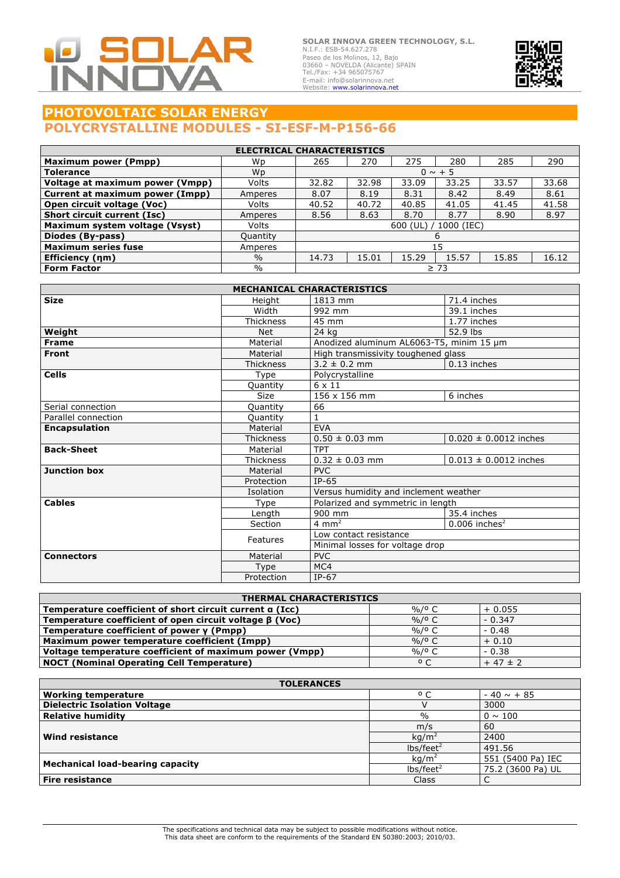

**SOLAR INNOVA GREEN TECHNOLOGY, S.L.** N.I.F.: ESB-54.627.278<br>Paseo de los Molinos, 12, Bajo<br>03660 – NOVELDA (Alicante) SPAIN<br>Tel./Fax: +34 965075767<br>Tel./Fax: +34 965075767<br>E-mail: info@solarinnova.net<br>Website: **www.solarinnova.net** 



# **PHOTOVOLTAIC SOLAR ENERGY POLYCRYSTALLINE MODULES - SI-ESF-M-P156-66**

| <b>ELECTRICAL CHARACTERISTICS</b>  |               |                          |       |       |           |       |       |
|------------------------------------|---------------|--------------------------|-------|-------|-----------|-------|-------|
| Maximum power (Pmpp)               | Wp            | 265                      | 270   | 275   | 280       | 285   | 290   |
| <b>Tolerance</b>                   | Wp.           | $0 \sim +5$              |       |       |           |       |       |
| Voltage at maximum power (Vmpp)    | Volts         | 32.82                    | 32.98 | 33.09 | 33.25     | 33.57 | 33.68 |
| Current at maximum power (Impp)    | Amperes       | 8.07                     | 8.19  | 8.31  | 8.42      | 8.49  | 8.61  |
| Open circuit voltage (Voc)         | Volts         | 40.52                    | 40.72 | 40.85 | 41.05     | 41.45 | 41.58 |
| <b>Short circuit current (Isc)</b> | Amperes       | 8.56                     | 8.63  | 8.70  | 8.77      | 8.90  | 8.97  |
| Maximum system voltage (Vsyst)     | Volts         | 1000 (IEC)<br>$600$ (UL) |       |       |           |       |       |
| Diodes (By-pass)                   | Quantity      |                          |       |       | 6         |       |       |
| <b>Maximum series fuse</b>         | Amperes       | 15                       |       |       |           |       |       |
| Efficiency (nm)                    | $\%$          | 14.73                    | 15.01 | 15.29 | 15.57     | 15.85 | 16.12 |
| <b>Form Factor</b>                 | $\frac{0}{0}$ |                          |       |       | $\geq 73$ |       |       |

| <b>MECHANICAL CHARACTERISTICS</b> |                                 |                                          |                             |  |
|-----------------------------------|---------------------------------|------------------------------------------|-----------------------------|--|
| <b>Size</b>                       | Height                          | 1813 mm                                  | 71.4 inches                 |  |
|                                   | Width                           | 992 mm                                   | 39.1 inches                 |  |
|                                   | <b>Thickness</b>                | 45 mm                                    | 1.77 inches                 |  |
| Weight                            | <b>Net</b>                      | 24 kg                                    | 52.9 lbs                    |  |
| <b>Frame</b>                      | Material                        | Anodized aluminum AL6063-T5, minim 15 um |                             |  |
| <b>Front</b>                      | Material                        | High transmissivity toughened glass      |                             |  |
|                                   | <b>Thickness</b>                | $3.2 \pm 0.2$ mm                         | 0.13 inches                 |  |
| <b>Cells</b>                      | Type                            | Polycrystalline                          |                             |  |
|                                   | Quantity                        | $6 \times 11$                            |                             |  |
|                                   | <b>Size</b>                     | 156 x 156 mm                             | 6 inches                    |  |
| Serial connection                 | Quantity                        | 66                                       |                             |  |
| Parallel connection               | Quantity                        |                                          |                             |  |
| <b>Encapsulation</b>              | Material                        | <b>EVA</b>                               |                             |  |
|                                   | <b>Thickness</b>                | $0.50 \pm 0.03$ mm                       | $0.020 \pm 0.0012$ inches   |  |
| <b>Back-Sheet</b>                 | Material                        | <b>TPT</b>                               |                             |  |
|                                   | <b>Thickness</b>                | $0.32 \pm 0.03$ mm                       | $0.013 \pm 0.0012$ inches   |  |
| <b>Junction box</b><br>Material   |                                 | <b>PVC</b>                               |                             |  |
|                                   | Protection                      | $IP-65$                                  |                             |  |
|                                   | Isolation                       | Versus humidity and inclement weather    |                             |  |
| <b>Cables</b>                     | Type                            | Polarized and symmetric in length        |                             |  |
|                                   | Length                          | 900 mm                                   | 35.4 inches                 |  |
|                                   | Section                         | 4 mm <sup>2</sup>                        | $0.006$ inches <sup>2</sup> |  |
|                                   | Features                        | Low contact resistance                   |                             |  |
|                                   | Minimal losses for voltage drop |                                          |                             |  |
| <b>Connectors</b>                 | Material                        | <b>PVC</b>                               |                             |  |
|                                   | Type                            | MC4                                      |                             |  |
|                                   | Protection                      | $IP-67$                                  |                             |  |

| <b>THERMAL CHARACTERISTICS</b>                           |                           |             |  |  |
|----------------------------------------------------------|---------------------------|-------------|--|--|
| Temperature coefficient of short circuit current a (Icc) | $\frac{9}{6}$ / $\circ$ C | $+0.055$    |  |  |
| Temperature coefficient of open circuit voltage B (Voc)  | $\frac{9}{6}$ / $\circ$ C | $-0.347$    |  |  |
| Temperature coefficient of power y (Pmpp)                | $\frac{9}{6}$ / $\circ$ C | $-0.48$     |  |  |
| Maximum power temperature coefficient (Impp)             | %/º C                     | $+0.10$     |  |  |
| Voltage temperature coefficient of maximum power (Vmpp)  | %/º C                     | $-0.38$     |  |  |
| <b>NOCT (Nominal Operating Cell Temperature)</b>         | $^{\circ}$ C              | $+47 \pm 2$ |  |  |

| <b>TOLERANCES</b>                   |                       |                   |  |  |
|-------------------------------------|-----------------------|-------------------|--|--|
| <b>Working temperature</b>          | $^{\circ}$ C          | $-40 \sim +85$    |  |  |
| <b>Dielectric Isolation Voltage</b> |                       | 3000              |  |  |
| <b>Relative humidity</b>            | $\%$                  | $0 \sim 100$      |  |  |
|                                     | m/s                   | 60                |  |  |
| Wind resistance                     | kg/m <sup>2</sup>     | 2400              |  |  |
|                                     | lbs/feet <sup>2</sup> | 491.56            |  |  |
|                                     | kq/m <sup>2</sup>     | 551 (5400 Pa) IEC |  |  |
| Mechanical load-bearing capacity    | lbs/feet <sup>2</sup> | 75.2 (3600 Pa) UL |  |  |
| Fire resistance                     | Class                 |                   |  |  |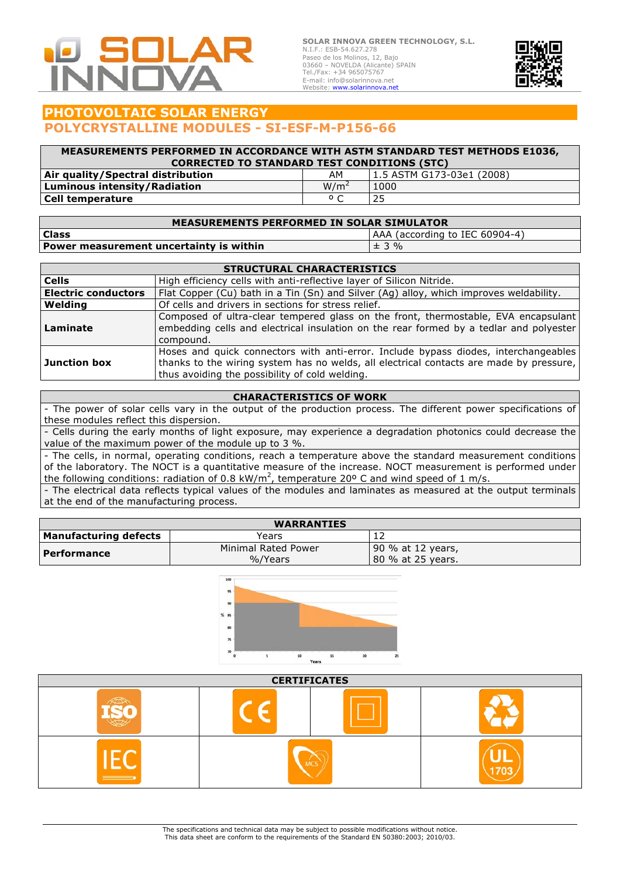

**SOLAR INNOVA GREEN TECHNOLOGY, S.L.** N.I.F.: ESB-54.627.278 Paseo de los Molinos, 12, Bajo 03660 – NOVELDA (Alicante) SPAIN Tel./Fax: +34 965075767 E-mail: info@solarinnova.net Website: www.solarinnova.net



# **PHOTOVOLTAIC SOLAR ENERGY POLYCRYSTALLINE MODULES - SI-ESF-M-P156-66**

| MEASUREMENTS PERFORMED IN ACCORDANCE WITH ASTM STANDARD TEST METHODS E1036, |                |                             |  |  |
|-----------------------------------------------------------------------------|----------------|-----------------------------|--|--|
| <b>CORRECTED TO STANDARD TEST CONDITIONS (STC)</b>                          |                |                             |  |  |
| Air quality/Spectral distribution                                           | AM             | l 1.5 ASTM G173-03e1 (2008) |  |  |
| Luminous intensity/Radiation                                                | $W/m^2$        | 1000                        |  |  |
| Cell temperature                                                            | $\circ$ $\cap$ | 25                          |  |  |

| <b>MEASUREMENTS PERFORMED IN SOLAR SIMULATOR</b> |                                |  |  |  |
|--------------------------------------------------|--------------------------------|--|--|--|
| l Class                                          | AAA (according to IEC 60904-4) |  |  |  |
| Power measurement uncertainty is within          | ± 3 %                          |  |  |  |

| <b>STRUCTURAL CHARACTERISTICS</b> |                                                                                                                                                                                                                                  |  |  |
|-----------------------------------|----------------------------------------------------------------------------------------------------------------------------------------------------------------------------------------------------------------------------------|--|--|
| <b>Cells</b>                      | High efficiency cells with anti-reflective layer of Silicon Nitride.                                                                                                                                                             |  |  |
| <b>Electric conductors</b>        | Flat Copper (Cu) bath in a Tin (Sn) and Silver (Ag) alloy, which improves weldability.                                                                                                                                           |  |  |
| Welding                           | Of cells and drivers in sections for stress relief.                                                                                                                                                                              |  |  |
| Laminate                          | Composed of ultra-clear tempered glass on the front, thermostable, EVA encapsulant<br>embedding cells and electrical insulation on the rear formed by a tedlar and polyester<br>compound.                                        |  |  |
| Junction box                      | Hoses and quick connectors with anti-error. Include bypass diodes, interchangeables<br>thanks to the wiring system has no welds, all electrical contacts are made by pressure,<br>thus avoiding the possibility of cold welding. |  |  |

#### **CHARACTERISTICS OF WORK**

- The power of solar cells vary in the output of the production process. The different power specifications of these modules reflect this dispersion.

- Cells during the early months of light exposure, may experience a degradation photonics could decrease the value of the maximum power of the module up to 3 %.

- The cells, in normal, operating conditions, reach a temperature above the standard measurement conditions of the laboratory. The NOCT is a quantitative measure of the increase. NOCT measurement is performed under the following conditions: radiation of 0.8 kW/m<sup>2</sup>, temperature 20° C and wind speed of 1 m/s.

- The electrical data reflects typical values of the modules and laminates as measured at the output terminals at the end of the manufacturing process.

| <b>WARRANTIES</b>            |                                |                                         |  |  |
|------------------------------|--------------------------------|-----------------------------------------|--|--|
| <b>Manufacturing defects</b> | Years                          |                                         |  |  |
| Performance                  | Minimal Rated Power<br>%/Years | 90 % at 12 years,<br>180 % at 25 vears. |  |  |



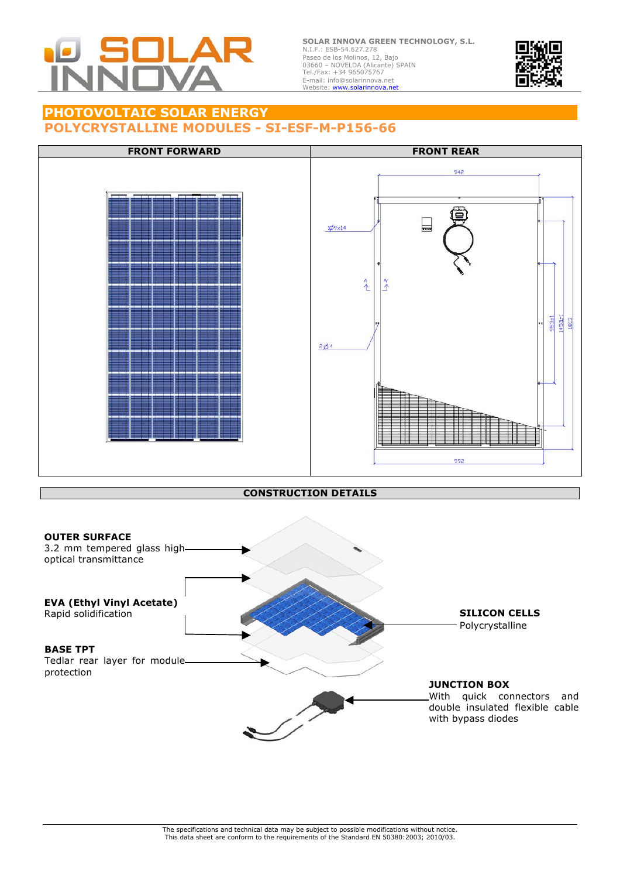

**SOLAR INNOVA GREEN TECHNOLOGY, S.L.** N.I.F.: ESB-54.627.278 Paseo de los Molinos, 12, Bajo 03660 – NOVELDA (Alicante) SPAIN Tel./Fax: +34 965075767 E-mail: info@solarinnova.net<br>Website: **www.solarinnova.net** 



### **PHOTOVOLTAIC SOLAR ENERGY POLYCRYSTALLINE MODULES - SI-ESF-M-P156-66**



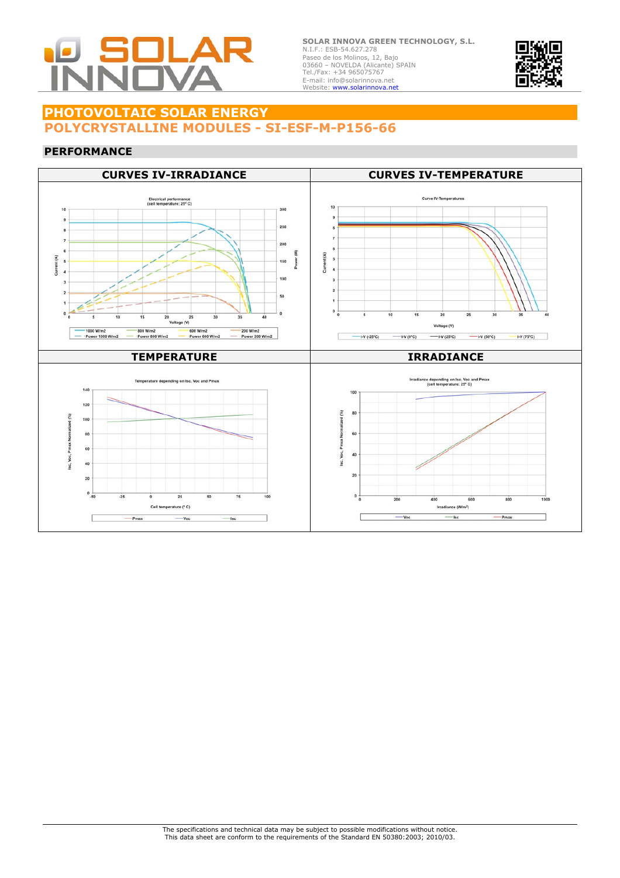

**SOLAR INNOVA GREEN TECHNOLOGY, S.L.** N.I.F.: ESB-54.627.278 Paseo de los Molinos, 12, Bajo 03660 – NOVELDA (Alicante) SPAIN Tel./Fax: +34 965075767 E-mail: info@solarinnova.net<br>Website: **www.solarinnova.net** 



### **PHOTOVOLTAIC SOLAR ENERGY POLYCRYSTALLINE MODULES - SI-ESF-M-P156-66**

### **PERFORMANCE**